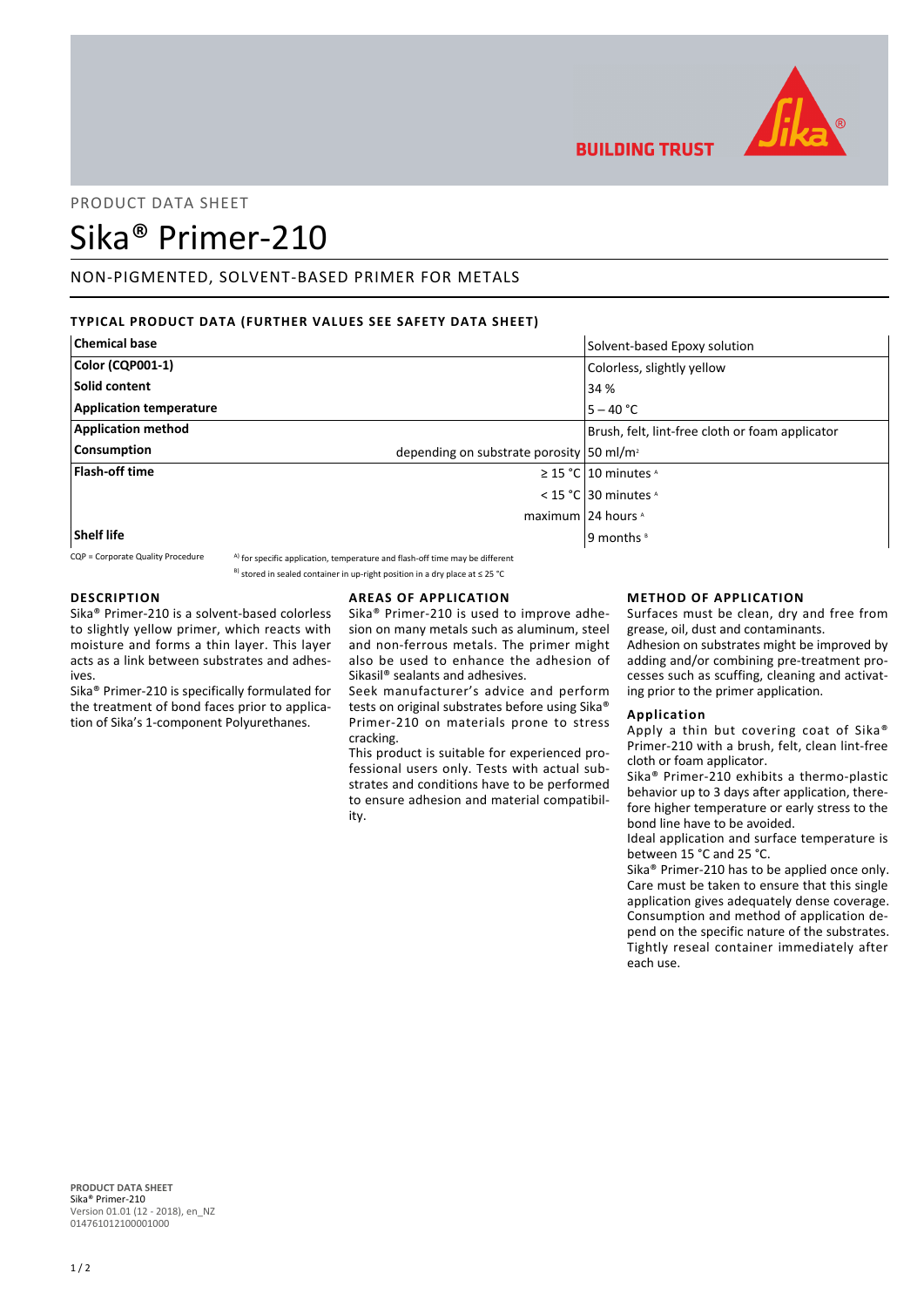

# PRODUCT DATA SHEET

# Sika® Primer-210

# NON-PIGMENTED, SOLVENT-BASED PRIMER FOR METALS

# **TYPICAL PRODUCT DATA (FURTHER VALUES SEE SAFETY DATA SHEET)**

| <b>Chemical base</b>                                                       | Solvent-based Epoxy solution                    |
|----------------------------------------------------------------------------|-------------------------------------------------|
| Color (CQP001-1)                                                           | Colorless, slightly yellow                      |
| Solid content                                                              | 34 %                                            |
| <b>Application temperature</b>                                             | $5 - 40 °C$                                     |
| <b>Application method</b>                                                  | Brush, felt, lint-free cloth or foam applicator |
| <b>Consumption</b><br>depending on substrate porosity 50 ml/m <sup>2</sup> |                                                 |
| <b>Flash-off time</b>                                                      | $\geq$ 15 °C   10 minutes $\triangle$           |
|                                                                            | < 15 °C 30 minutes $\lambda$                    |
|                                                                            | maximum 24 hours ^                              |
| <b>Shelf life</b>                                                          | 9 months <sup>8</sup>                           |

 $CQP =$  Corporate Quality Procedure  $A)$  for specific application, temperature and flash-off time may be different

<sup>B)</sup> stored in sealed container in up-right position in a dry place at ≤ 25 °C

# **DESCRIPTION**

Sika® Primer-210 is a solvent-based colorless to slightly yellow primer, which reacts with moisture and forms a thin layer. This layer acts as a link between substrates and adhesives.

Sika® Primer-210 is specifically formulated for the treatment of bond faces prior to application of Sika's 1-component Polyurethanes.

## **AREAS OF APPLICATION**

Sika® Primer-210 is used to improve adhesion on many metals such as aluminum, steel and non-ferrous metals. The primer might also be used to enhance the adhesion of Sikasil® sealants and adhesives.

Seek manufacturer's advice and perform tests on original substrates before using Sika® Primer-210 on materials prone to stress cracking.

This product is suitable for experienced professional users only. Tests with actual substrates and conditions have to be performed to ensure adhesion and material compatibility.

## **METHOD OF APPLICATION**

Surfaces must be clean, dry and free from grease, oil, dust and contaminants.

Adhesion on substrates might be improved by adding and/or combining pre-treatment processes such as scuffing, cleaning and activating prior to the primer application.

#### **Application**

**BUILDING TRUST** 

Apply a thin but covering coat of Sika® Primer-210 with a brush, felt, clean lint-free cloth or foam applicator.

Sika® Primer-210 exhibits a thermo-plastic behavior up to 3 days after application, therefore higher temperature or early stress to the bond line have to be avoided.

Ideal application and surface temperature is between 15 °C and 25 °C.

Sika® Primer-210 has to be applied once only. Care must be taken to ensure that this single application gives adequately dense coverage. Consumption and method of application depend on the specific nature of the substrates. Tightly reseal container immediately after each use.

**PRODUCT DATA SHEET** Sika® Primer-210 Version 01.01 (12 - 2018), en\_NZ 014761012100001000